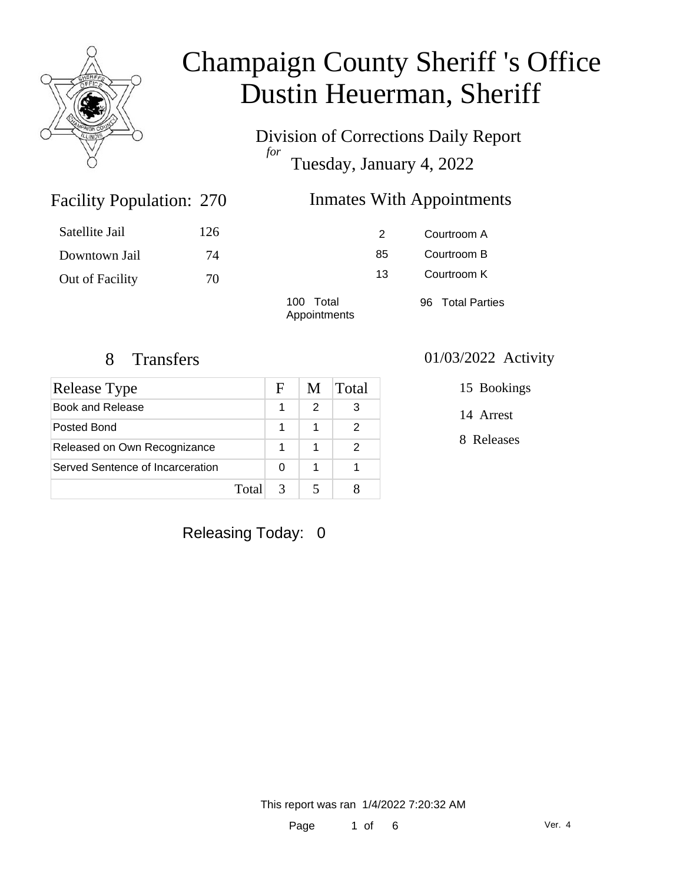

Division of Corrections Daily Report *for* Tuesday, January 4, 2022

### Facility Population: 270

### Inmates With Appointments

| Satellite Jail  | 126 |                           | 2  | Courtroom A      |
|-----------------|-----|---------------------------|----|------------------|
| Downtown Jail   | 74  |                           | 85 | Courtroom B      |
| Out of Facility | 70  |                           | 13 | Courtroom K      |
|                 |     | 100 Total<br>Appointments |    | 96 Total Parties |

| Release Type                     |        | F | M | Total |
|----------------------------------|--------|---|---|-------|
| Book and Release                 |        |   | 2 | 3     |
| Posted Bond                      |        | 1 | 1 |       |
| Released on Own Recognizance     |        |   |   |       |
| Served Sentence of Incarceration |        |   |   |       |
|                                  | Totall | 3 |   |       |

### 8 Transfers 01/03/2022 Activity

15 Bookings

14 Arrest

8 Releases

Releasing Today: 0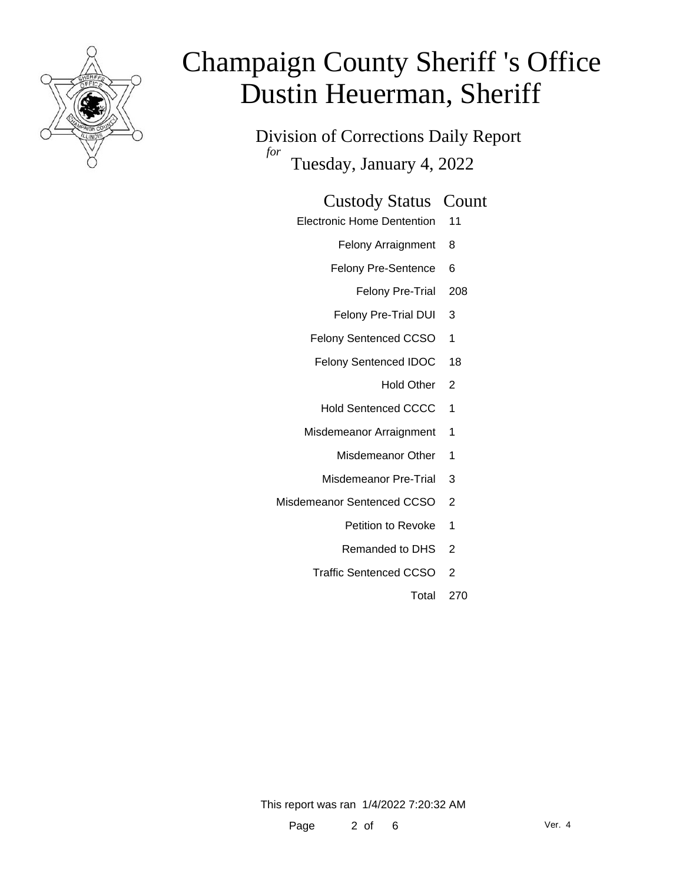

Division of Corrections Daily Report *for* Tuesday, January 4, 2022

### Custody Status Count

- Electronic Home Dentention 11
	- Felony Arraignment 8
	- Felony Pre-Sentence 6
		- Felony Pre-Trial 208
	- Felony Pre-Trial DUI 3
	- Felony Sentenced CCSO 1
	- Felony Sentenced IDOC 18
		- Hold Other 2
	- Hold Sentenced CCCC 1
	- Misdemeanor Arraignment 1
		- Misdemeanor Other 1
		- Misdemeanor Pre-Trial 3
- Misdemeanor Sentenced CCSO 2
	- Petition to Revoke 1
	- Remanded to DHS 2
	- Traffic Sentenced CCSO 2
		- Total 270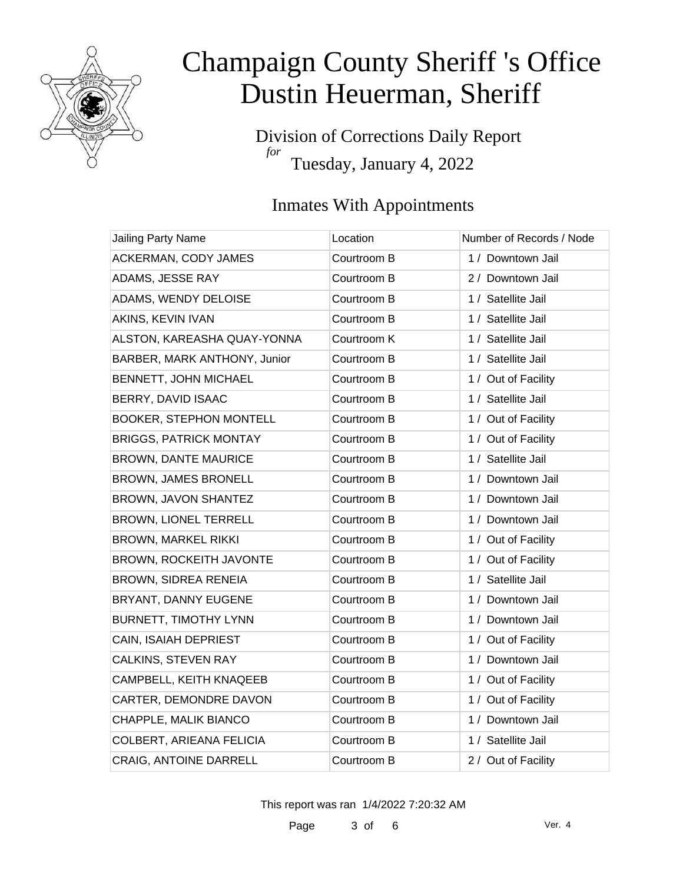

Division of Corrections Daily Report *for* Tuesday, January 4, 2022

### Inmates With Appointments

| Jailing Party Name             | Location    | Number of Records / Node |
|--------------------------------|-------------|--------------------------|
| ACKERMAN, CODY JAMES           | Courtroom B | 1 / Downtown Jail        |
| ADAMS, JESSE RAY               | Courtroom B | 2 / Downtown Jail        |
| ADAMS, WENDY DELOISE           | Courtroom B | 1 / Satellite Jail       |
| AKINS, KEVIN IVAN              | Courtroom B | 1 / Satellite Jail       |
| ALSTON, KAREASHA QUAY-YONNA    | Courtroom K | 1 / Satellite Jail       |
| BARBER, MARK ANTHONY, Junior   | Courtroom B | 1 / Satellite Jail       |
| BENNETT, JOHN MICHAEL          | Courtroom B | 1 / Out of Facility      |
| BERRY, DAVID ISAAC             | Courtroom B | 1 / Satellite Jail       |
| <b>BOOKER, STEPHON MONTELL</b> | Courtroom B | 1 / Out of Facility      |
| <b>BRIGGS, PATRICK MONTAY</b>  | Courtroom B | 1 / Out of Facility      |
| <b>BROWN, DANTE MAURICE</b>    | Courtroom B | 1 / Satellite Jail       |
| <b>BROWN, JAMES BRONELL</b>    | Courtroom B | 1 / Downtown Jail        |
| BROWN, JAVON SHANTEZ           | Courtroom B | 1 / Downtown Jail        |
| <b>BROWN, LIONEL TERRELL</b>   | Courtroom B | 1 / Downtown Jail        |
| <b>BROWN, MARKEL RIKKI</b>     | Courtroom B | 1 / Out of Facility      |
| BROWN, ROCKEITH JAVONTE        | Courtroom B | 1 / Out of Facility      |
| <b>BROWN, SIDREA RENEIA</b>    | Courtroom B | 1 / Satellite Jail       |
| BRYANT, DANNY EUGENE           | Courtroom B | 1 / Downtown Jail        |
| <b>BURNETT, TIMOTHY LYNN</b>   | Courtroom B | 1 / Downtown Jail        |
| CAIN, ISAIAH DEPRIEST          | Courtroom B | 1 / Out of Facility      |
| CALKINS, STEVEN RAY            | Courtroom B | 1 / Downtown Jail        |
| CAMPBELL, KEITH KNAQEEB        | Courtroom B | 1 / Out of Facility      |
| CARTER, DEMONDRE DAVON         | Courtroom B | 1 / Out of Facility      |
| CHAPPLE, MALIK BIANCO          | Courtroom B | 1 / Downtown Jail        |
| COLBERT, ARIEANA FELICIA       | Courtroom B | 1 / Satellite Jail       |
| <b>CRAIG, ANTOINE DARRELL</b>  | Courtroom B | 2 / Out of Facility      |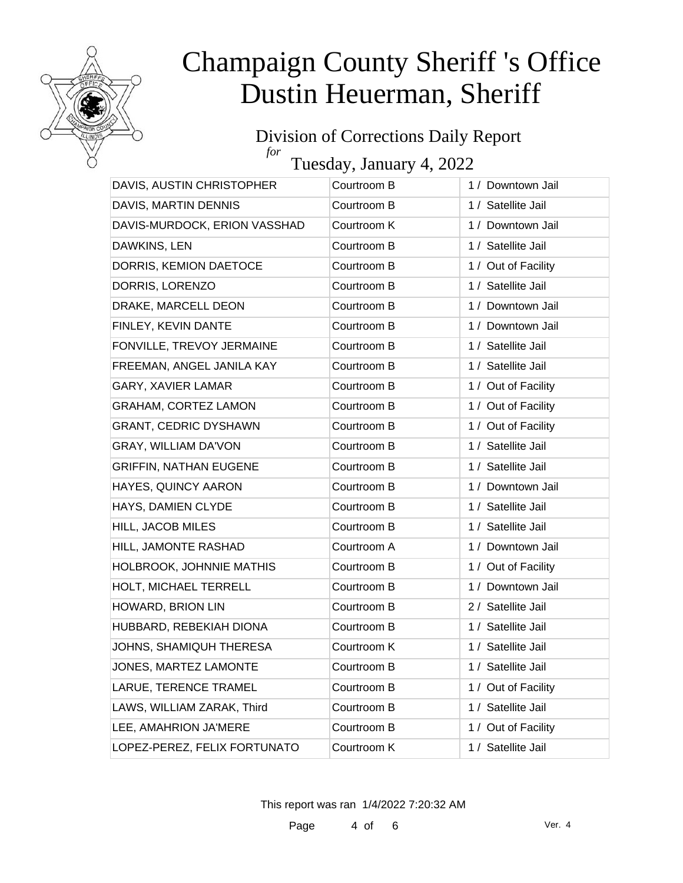

#### Division of Corrections Daily Report *for*

Tuesday, January 4, 2022

| 1 / Satellite Jail<br>DAVIS, MARTIN DENNIS<br>Courtroom B<br>DAVIS-MURDOCK, ERION VASSHAD<br>Courtroom K<br>1 / Downtown Jail<br>DAWKINS, LEN<br>Courtroom B<br>1 / Satellite Jail<br>DORRIS, KEMION DAETOCE<br>1 / Out of Facility<br>Courtroom B<br>DORRIS, LORENZO<br>1 / Satellite Jail<br>Courtroom B<br>DRAKE, MARCELL DEON<br>Courtroom B<br>1 / Downtown Jail<br>FINLEY, KEVIN DANTE<br>1 / Downtown Jail<br>Courtroom B<br>1 / Satellite Jail<br>FONVILLE, TREVOY JERMAINE<br>Courtroom B<br>FREEMAN, ANGEL JANILA KAY<br>Courtroom B<br>1 / Satellite Jail<br>GARY, XAVIER LAMAR<br>Courtroom B<br>1 / Out of Facility<br>GRAHAM, CORTEZ LAMON<br>1 / Out of Facility<br>Courtroom B<br><b>GRANT, CEDRIC DYSHAWN</b><br>Courtroom B<br>1 / Out of Facility<br><b>GRAY, WILLIAM DA'VON</b><br>1 / Satellite Jail<br>Courtroom B<br><b>GRIFFIN, NATHAN EUGENE</b><br>1 / Satellite Jail<br>Courtroom B<br>HAYES, QUINCY AARON<br>Courtroom B<br>1 / Downtown Jail<br>1 / Satellite Jail<br>HAYS, DAMIEN CLYDE<br>Courtroom B<br>HILL, JACOB MILES<br>1 / Satellite Jail<br>Courtroom B<br>HILL, JAMONTE RASHAD<br>Courtroom A<br>1 / Downtown Jail<br>HOLBROOK, JOHNNIE MATHIS<br>Courtroom B<br>1 / Out of Facility<br>HOLT, MICHAEL TERRELL<br>Courtroom B<br>1 / Downtown Jail<br>HOWARD, BRION LIN<br>Courtroom B<br>2 / Satellite Jail<br>HUBBARD, REBEKIAH DIONA<br>Courtroom B<br>1 / Satellite Jail<br>JOHNS, SHAMIQUH THERESA<br>Courtroom K<br>1 / Satellite Jail<br>1 / Satellite Jail<br>JONES, MARTEZ LAMONTE<br>Courtroom B<br>LARUE, TERENCE TRAMEL<br>Courtroom B<br>1 / Out of Facility<br>LAWS, WILLIAM ZARAK, Third<br>1 / Satellite Jail<br>Courtroom B<br>LEE, AMAHRION JA'MERE<br>Courtroom B<br>1 / Out of Facility<br>LOPEZ-PEREZ, FELIX FORTUNATO<br>1 / Satellite Jail<br>Courtroom K | DAVIS, AUSTIN CHRISTOPHER | Courtroom B | 1 / Downtown Jail |
|-------------------------------------------------------------------------------------------------------------------------------------------------------------------------------------------------------------------------------------------------------------------------------------------------------------------------------------------------------------------------------------------------------------------------------------------------------------------------------------------------------------------------------------------------------------------------------------------------------------------------------------------------------------------------------------------------------------------------------------------------------------------------------------------------------------------------------------------------------------------------------------------------------------------------------------------------------------------------------------------------------------------------------------------------------------------------------------------------------------------------------------------------------------------------------------------------------------------------------------------------------------------------------------------------------------------------------------------------------------------------------------------------------------------------------------------------------------------------------------------------------------------------------------------------------------------------------------------------------------------------------------------------------------------------------------------------------------------------------------------------------------------------------------------------------------------------|---------------------------|-------------|-------------------|
|                                                                                                                                                                                                                                                                                                                                                                                                                                                                                                                                                                                                                                                                                                                                                                                                                                                                                                                                                                                                                                                                                                                                                                                                                                                                                                                                                                                                                                                                                                                                                                                                                                                                                                                                                                                                                         |                           |             |                   |
|                                                                                                                                                                                                                                                                                                                                                                                                                                                                                                                                                                                                                                                                                                                                                                                                                                                                                                                                                                                                                                                                                                                                                                                                                                                                                                                                                                                                                                                                                                                                                                                                                                                                                                                                                                                                                         |                           |             |                   |
|                                                                                                                                                                                                                                                                                                                                                                                                                                                                                                                                                                                                                                                                                                                                                                                                                                                                                                                                                                                                                                                                                                                                                                                                                                                                                                                                                                                                                                                                                                                                                                                                                                                                                                                                                                                                                         |                           |             |                   |
|                                                                                                                                                                                                                                                                                                                                                                                                                                                                                                                                                                                                                                                                                                                                                                                                                                                                                                                                                                                                                                                                                                                                                                                                                                                                                                                                                                                                                                                                                                                                                                                                                                                                                                                                                                                                                         |                           |             |                   |
|                                                                                                                                                                                                                                                                                                                                                                                                                                                                                                                                                                                                                                                                                                                                                                                                                                                                                                                                                                                                                                                                                                                                                                                                                                                                                                                                                                                                                                                                                                                                                                                                                                                                                                                                                                                                                         |                           |             |                   |
|                                                                                                                                                                                                                                                                                                                                                                                                                                                                                                                                                                                                                                                                                                                                                                                                                                                                                                                                                                                                                                                                                                                                                                                                                                                                                                                                                                                                                                                                                                                                                                                                                                                                                                                                                                                                                         |                           |             |                   |
|                                                                                                                                                                                                                                                                                                                                                                                                                                                                                                                                                                                                                                                                                                                                                                                                                                                                                                                                                                                                                                                                                                                                                                                                                                                                                                                                                                                                                                                                                                                                                                                                                                                                                                                                                                                                                         |                           |             |                   |
|                                                                                                                                                                                                                                                                                                                                                                                                                                                                                                                                                                                                                                                                                                                                                                                                                                                                                                                                                                                                                                                                                                                                                                                                                                                                                                                                                                                                                                                                                                                                                                                                                                                                                                                                                                                                                         |                           |             |                   |
|                                                                                                                                                                                                                                                                                                                                                                                                                                                                                                                                                                                                                                                                                                                                                                                                                                                                                                                                                                                                                                                                                                                                                                                                                                                                                                                                                                                                                                                                                                                                                                                                                                                                                                                                                                                                                         |                           |             |                   |
|                                                                                                                                                                                                                                                                                                                                                                                                                                                                                                                                                                                                                                                                                                                                                                                                                                                                                                                                                                                                                                                                                                                                                                                                                                                                                                                                                                                                                                                                                                                                                                                                                                                                                                                                                                                                                         |                           |             |                   |
|                                                                                                                                                                                                                                                                                                                                                                                                                                                                                                                                                                                                                                                                                                                                                                                                                                                                                                                                                                                                                                                                                                                                                                                                                                                                                                                                                                                                                                                                                                                                                                                                                                                                                                                                                                                                                         |                           |             |                   |
|                                                                                                                                                                                                                                                                                                                                                                                                                                                                                                                                                                                                                                                                                                                                                                                                                                                                                                                                                                                                                                                                                                                                                                                                                                                                                                                                                                                                                                                                                                                                                                                                                                                                                                                                                                                                                         |                           |             |                   |
|                                                                                                                                                                                                                                                                                                                                                                                                                                                                                                                                                                                                                                                                                                                                                                                                                                                                                                                                                                                                                                                                                                                                                                                                                                                                                                                                                                                                                                                                                                                                                                                                                                                                                                                                                                                                                         |                           |             |                   |
|                                                                                                                                                                                                                                                                                                                                                                                                                                                                                                                                                                                                                                                                                                                                                                                                                                                                                                                                                                                                                                                                                                                                                                                                                                                                                                                                                                                                                                                                                                                                                                                                                                                                                                                                                                                                                         |                           |             |                   |
|                                                                                                                                                                                                                                                                                                                                                                                                                                                                                                                                                                                                                                                                                                                                                                                                                                                                                                                                                                                                                                                                                                                                                                                                                                                                                                                                                                                                                                                                                                                                                                                                                                                                                                                                                                                                                         |                           |             |                   |
|                                                                                                                                                                                                                                                                                                                                                                                                                                                                                                                                                                                                                                                                                                                                                                                                                                                                                                                                                                                                                                                                                                                                                                                                                                                                                                                                                                                                                                                                                                                                                                                                                                                                                                                                                                                                                         |                           |             |                   |
|                                                                                                                                                                                                                                                                                                                                                                                                                                                                                                                                                                                                                                                                                                                                                                                                                                                                                                                                                                                                                                                                                                                                                                                                                                                                                                                                                                                                                                                                                                                                                                                                                                                                                                                                                                                                                         |                           |             |                   |
|                                                                                                                                                                                                                                                                                                                                                                                                                                                                                                                                                                                                                                                                                                                                                                                                                                                                                                                                                                                                                                                                                                                                                                                                                                                                                                                                                                                                                                                                                                                                                                                                                                                                                                                                                                                                                         |                           |             |                   |
|                                                                                                                                                                                                                                                                                                                                                                                                                                                                                                                                                                                                                                                                                                                                                                                                                                                                                                                                                                                                                                                                                                                                                                                                                                                                                                                                                                                                                                                                                                                                                                                                                                                                                                                                                                                                                         |                           |             |                   |
|                                                                                                                                                                                                                                                                                                                                                                                                                                                                                                                                                                                                                                                                                                                                                                                                                                                                                                                                                                                                                                                                                                                                                                                                                                                                                                                                                                                                                                                                                                                                                                                                                                                                                                                                                                                                                         |                           |             |                   |
|                                                                                                                                                                                                                                                                                                                                                                                                                                                                                                                                                                                                                                                                                                                                                                                                                                                                                                                                                                                                                                                                                                                                                                                                                                                                                                                                                                                                                                                                                                                                                                                                                                                                                                                                                                                                                         |                           |             |                   |
|                                                                                                                                                                                                                                                                                                                                                                                                                                                                                                                                                                                                                                                                                                                                                                                                                                                                                                                                                                                                                                                                                                                                                                                                                                                                                                                                                                                                                                                                                                                                                                                                                                                                                                                                                                                                                         |                           |             |                   |
|                                                                                                                                                                                                                                                                                                                                                                                                                                                                                                                                                                                                                                                                                                                                                                                                                                                                                                                                                                                                                                                                                                                                                                                                                                                                                                                                                                                                                                                                                                                                                                                                                                                                                                                                                                                                                         |                           |             |                   |
|                                                                                                                                                                                                                                                                                                                                                                                                                                                                                                                                                                                                                                                                                                                                                                                                                                                                                                                                                                                                                                                                                                                                                                                                                                                                                                                                                                                                                                                                                                                                                                                                                                                                                                                                                                                                                         |                           |             |                   |
|                                                                                                                                                                                                                                                                                                                                                                                                                                                                                                                                                                                                                                                                                                                                                                                                                                                                                                                                                                                                                                                                                                                                                                                                                                                                                                                                                                                                                                                                                                                                                                                                                                                                                                                                                                                                                         |                           |             |                   |
|                                                                                                                                                                                                                                                                                                                                                                                                                                                                                                                                                                                                                                                                                                                                                                                                                                                                                                                                                                                                                                                                                                                                                                                                                                                                                                                                                                                                                                                                                                                                                                                                                                                                                                                                                                                                                         |                           |             |                   |
|                                                                                                                                                                                                                                                                                                                                                                                                                                                                                                                                                                                                                                                                                                                                                                                                                                                                                                                                                                                                                                                                                                                                                                                                                                                                                                                                                                                                                                                                                                                                                                                                                                                                                                                                                                                                                         |                           |             |                   |
|                                                                                                                                                                                                                                                                                                                                                                                                                                                                                                                                                                                                                                                                                                                                                                                                                                                                                                                                                                                                                                                                                                                                                                                                                                                                                                                                                                                                                                                                                                                                                                                                                                                                                                                                                                                                                         |                           |             |                   |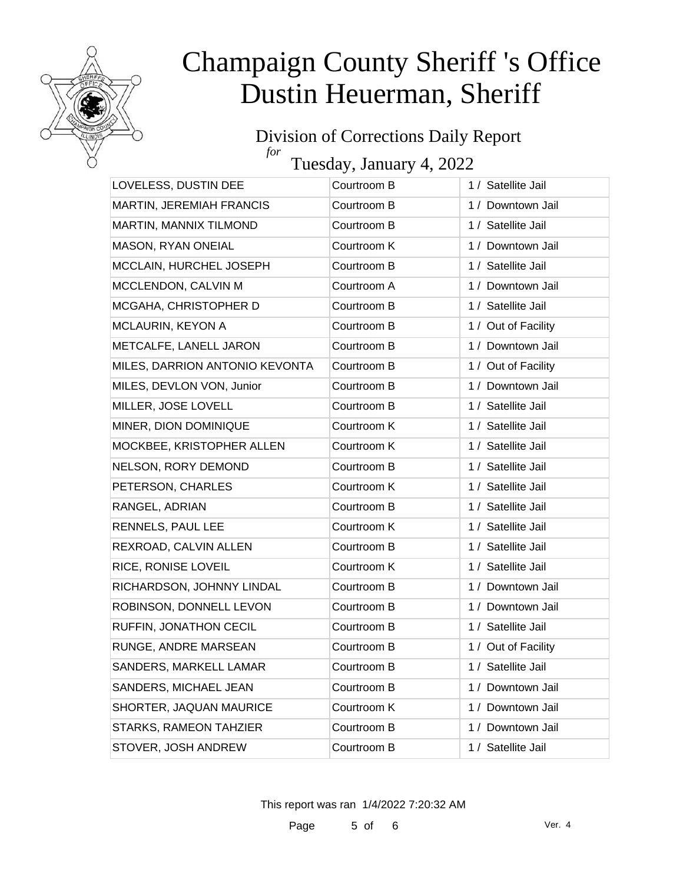

#### Division of Corrections Daily Report *for*

Tuesday, January 4, 2022

| LOVELESS, DUSTIN DEE            | Courtroom B | 1 / Satellite Jail  |
|---------------------------------|-------------|---------------------|
| <b>MARTIN, JEREMIAH FRANCIS</b> | Courtroom B | 1 / Downtown Jail   |
| MARTIN, MANNIX TILMOND          | Courtroom B | 1 / Satellite Jail  |
| MASON, RYAN ONEIAL              | Courtroom K | 1 / Downtown Jail   |
| MCCLAIN, HURCHEL JOSEPH         | Courtroom B | 1 / Satellite Jail  |
| MCCLENDON, CALVIN M             | Courtroom A | 1 / Downtown Jail   |
| MCGAHA, CHRISTOPHER D           | Courtroom B | 1 / Satellite Jail  |
| MCLAURIN, KEYON A               | Courtroom B | 1 / Out of Facility |
| METCALFE, LANELL JARON          | Courtroom B | 1 / Downtown Jail   |
| MILES, DARRION ANTONIO KEVONTA  | Courtroom B | 1 / Out of Facility |
| MILES, DEVLON VON, Junior       | Courtroom B | 1 / Downtown Jail   |
| MILLER, JOSE LOVELL             | Courtroom B | 1 / Satellite Jail  |
| MINER, DION DOMINIQUE           | Courtroom K | 1 / Satellite Jail  |
| MOCKBEE, KRISTOPHER ALLEN       | Courtroom K | 1 / Satellite Jail  |
| NELSON, RORY DEMOND             | Courtroom B | 1 / Satellite Jail  |
| PETERSON, CHARLES               | Courtroom K | 1 / Satellite Jail  |
| RANGEL, ADRIAN                  | Courtroom B | 1 / Satellite Jail  |
| RENNELS, PAUL LEE               | Courtroom K | 1 / Satellite Jail  |
| REXROAD, CALVIN ALLEN           | Courtroom B | 1 / Satellite Jail  |
| RICE, RONISE LOVEIL             | Courtroom K | 1 / Satellite Jail  |
| RICHARDSON, JOHNNY LINDAL       | Courtroom B | 1 / Downtown Jail   |
| ROBINSON, DONNELL LEVON         | Courtroom B | 1 / Downtown Jail   |
| RUFFIN, JONATHON CECIL          | Courtroom B | 1 / Satellite Jail  |
| RUNGE, ANDRE MARSEAN            | Courtroom B | 1 / Out of Facility |
| SANDERS, MARKELL LAMAR          | Courtroom B | 1 / Satellite Jail  |
| SANDERS, MICHAEL JEAN           | Courtroom B | 1 / Downtown Jail   |
| SHORTER, JAQUAN MAURICE         | Courtroom K | 1 / Downtown Jail   |
| STARKS, RAMEON TAHZIER          | Courtroom B | 1 / Downtown Jail   |
| STOVER, JOSH ANDREW             | Courtroom B | 1 / Satellite Jail  |